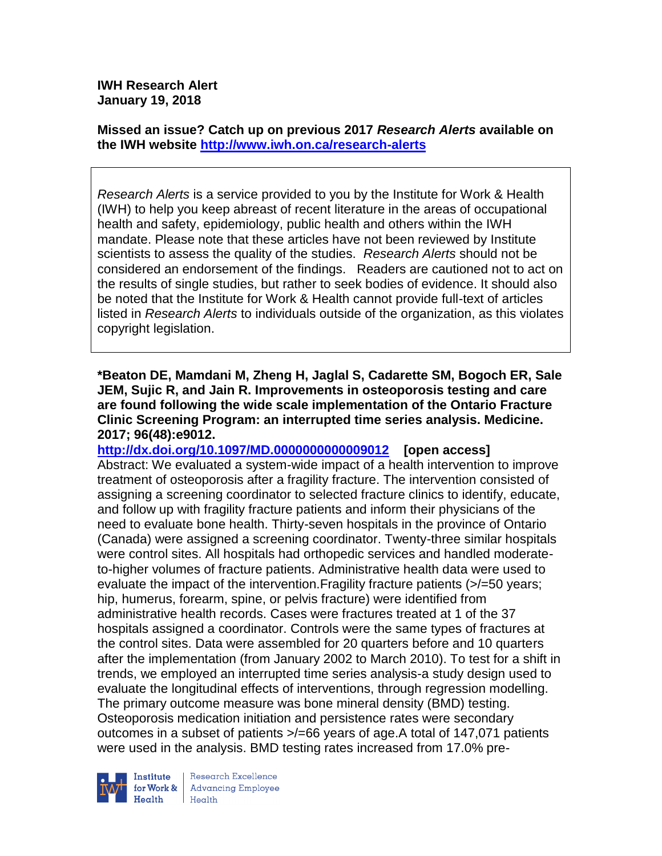**Missed an issue? Catch up on previous 2017** *Research Alerts* **available on the [IWH website](http://www.iwh.on.ca/research-alerts) <http://www.iwh.on.ca/research-alerts>**

*Research Alerts* is a service provided to you by the Institute for Work & Health (IWH) to help you keep abreast of recent literature in the areas of occupational health and safety, epidemiology, public health and others within the IWH mandate. Please note that these articles have not been reviewed by Institute scientists to assess the quality of the studies. *Research Alerts* should not be considered an endorsement of the findings. Readers are cautioned not to act on the results of single studies, but rather to seek bodies of evidence. It should also be noted that the Institute for Work & Health cannot provide full-text of articles listed in *Research Alerts* to individuals outside of the organization, as this violates copyright legislation.

**\*Beaton DE, Mamdani M, Zheng H, Jaglal S, Cadarette SM, Bogoch ER, Sale JEM, Sujic R, and Jain R. Improvements in osteoporosis testing and care are found following the wide scale implementation of the Ontario Fracture Clinic Screening Program: an interrupted time series analysis. Medicine. 2017; 96(48):e9012.**

**<http://dx.doi.org/10.1097/MD.0000000000009012>[open access]** Abstract: We evaluated a system-wide impact of a health intervention to improve treatment of osteoporosis after a fragility fracture. The intervention consisted of assigning a screening coordinator to selected fracture clinics to identify, educate, and follow up with fragility fracture patients and inform their physicians of the need to evaluate bone health. Thirty-seven hospitals in the province of Ontario (Canada) were assigned a screening coordinator. Twenty-three similar hospitals were control sites. All hospitals had orthopedic services and handled moderateto-higher volumes of fracture patients. Administrative health data were used to evaluate the impact of the intervention.Fragility fracture patients (>/=50 years; hip, humerus, forearm, spine, or pelvis fracture) were identified from administrative health records. Cases were fractures treated at 1 of the 37 hospitals assigned a coordinator. Controls were the same types of fractures at the control sites. Data were assembled for 20 quarters before and 10 quarters after the implementation (from January 2002 to March 2010). To test for a shift in trends, we employed an interrupted time series analysis-a study design used to evaluate the longitudinal effects of interventions, through regression modelling. The primary outcome measure was bone mineral density (BMD) testing. Osteoporosis medication initiation and persistence rates were secondary outcomes in a subset of patients >/=66 years of age.A total of 147,071 patients were used in the analysis. BMD testing rates increased from 17.0% pre-



Research Excellence for Work & | Advancing Employee Health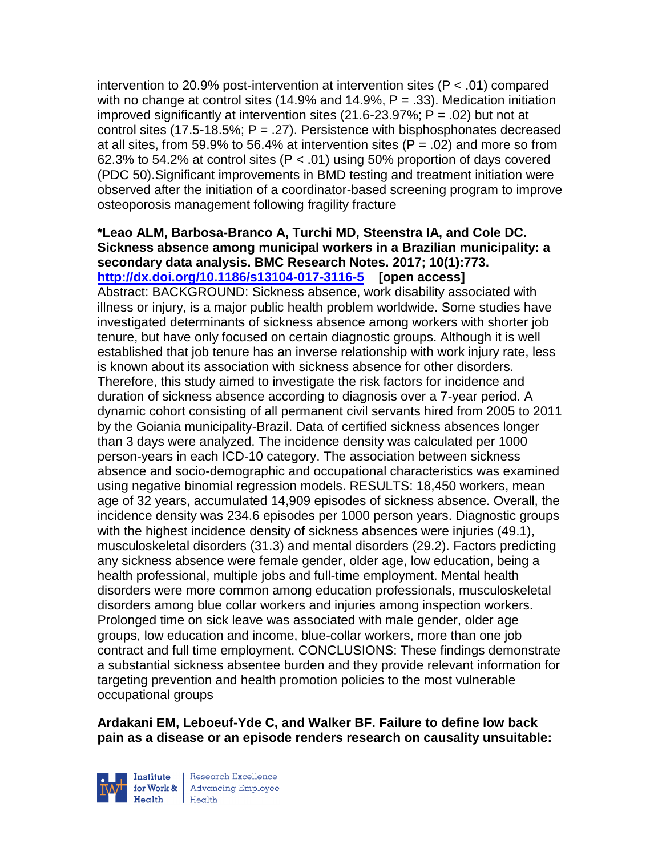intervention to 20.9% post-intervention at intervention sites (P < .01) compared with no change at control sites (14.9% and 14.9%,  $P = .33$ ). Medication initiation improved significantly at intervention sites  $(21.6-23.97\%)$ ; P = .02) but not at control sites  $(17.5-18.5\%; P = .27)$ . Persistence with bisphosphonates decreased at all sites, from 59.9% to 56.4% at intervention sites ( $P = .02$ ) and more so from 62.3% to 54.2% at control sites ( $P < .01$ ) using 50% proportion of days covered (PDC 50).Significant improvements in BMD testing and treatment initiation were observed after the initiation of a coordinator-based screening program to improve osteoporosis management following fragility fracture

#### **\*Leao ALM, Barbosa-Branco A, Turchi MD, Steenstra IA, and Cole DC. Sickness absence among municipal workers in a Brazilian municipality: a secondary data analysis. BMC Research Notes. 2017; 10(1):773. <http://dx.doi.org/10.1186/s13104-017-3116-5>[open access]**

Abstract: BACKGROUND: Sickness absence, work disability associated with illness or injury, is a major public health problem worldwide. Some studies have investigated determinants of sickness absence among workers with shorter job tenure, but have only focused on certain diagnostic groups. Although it is well established that job tenure has an inverse relationship with work injury rate, less is known about its association with sickness absence for other disorders. Therefore, this study aimed to investigate the risk factors for incidence and duration of sickness absence according to diagnosis over a 7-year period. A dynamic cohort consisting of all permanent civil servants hired from 2005 to 2011 by the Goiania municipality-Brazil. Data of certified sickness absences longer than 3 days were analyzed. The incidence density was calculated per 1000 person-years in each ICD-10 category. The association between sickness absence and socio-demographic and occupational characteristics was examined using negative binomial regression models. RESULTS: 18,450 workers, mean age of 32 years, accumulated 14,909 episodes of sickness absence. Overall, the incidence density was 234.6 episodes per 1000 person years. Diagnostic groups with the highest incidence density of sickness absences were injuries (49.1), musculoskeletal disorders (31.3) and mental disorders (29.2). Factors predicting any sickness absence were female gender, older age, low education, being a health professional, multiple jobs and full-time employment. Mental health disorders were more common among education professionals, musculoskeletal disorders among blue collar workers and injuries among inspection workers. Prolonged time on sick leave was associated with male gender, older age groups, low education and income, blue-collar workers, more than one job contract and full time employment. CONCLUSIONS: These findings demonstrate a substantial sickness absentee burden and they provide relevant information for targeting prevention and health promotion policies to the most vulnerable occupational groups

**Ardakani EM, Leboeuf-Yde C, and Walker BF. Failure to define low back pain as a disease or an episode renders research on causality unsuitable:** 



Research Excellence for Work & | Advancing Employee Health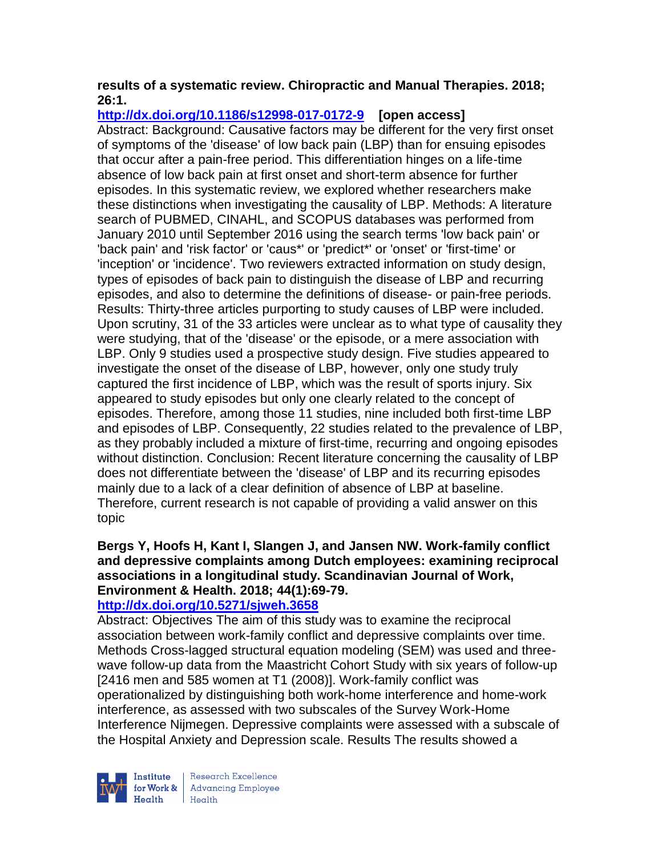### **results of a systematic review. Chiropractic and Manual Therapies. 2018; 26:1.**

**<http://dx.doi.org/10.1186/s12998-017-0172-9>[open access]**

Abstract: Background: Causative factors may be different for the very first onset of symptoms of the 'disease' of low back pain (LBP) than for ensuing episodes that occur after a pain-free period. This differentiation hinges on a life-time absence of low back pain at first onset and short-term absence for further episodes. In this systematic review, we explored whether researchers make these distinctions when investigating the causality of LBP. Methods: A literature search of PUBMED, CINAHL, and SCOPUS databases was performed from January 2010 until September 2016 using the search terms 'low back pain' or 'back pain' and 'risk factor' or 'caus\*' or 'predict\*' or 'onset' or 'first-time' or 'inception' or 'incidence'. Two reviewers extracted information on study design, types of episodes of back pain to distinguish the disease of LBP and recurring episodes, and also to determine the definitions of disease- or pain-free periods. Results: Thirty-three articles purporting to study causes of LBP were included. Upon scrutiny, 31 of the 33 articles were unclear as to what type of causality they were studying, that of the 'disease' or the episode, or a mere association with LBP. Only 9 studies used a prospective study design. Five studies appeared to investigate the onset of the disease of LBP, however, only one study truly captured the first incidence of LBP, which was the result of sports injury. Six appeared to study episodes but only one clearly related to the concept of episodes. Therefore, among those 11 studies, nine included both first-time LBP and episodes of LBP. Consequently, 22 studies related to the prevalence of LBP, as they probably included a mixture of first-time, recurring and ongoing episodes without distinction. Conclusion: Recent literature concerning the causality of LBP does not differentiate between the 'disease' of LBP and its recurring episodes mainly due to a lack of a clear definition of absence of LBP at baseline. Therefore, current research is not capable of providing a valid answer on this topic

# **Bergs Y, Hoofs H, Kant I, Slangen J, and Jansen NW. Work-family conflict and depressive complaints among Dutch employees: examining reciprocal associations in a longitudinal study. Scandinavian Journal of Work, Environment & Health. 2018; 44(1):69-79.**

## **<http://dx.doi.org/10.5271/sjweh.3658>**

Abstract: Objectives The aim of this study was to examine the reciprocal association between work-family conflict and depressive complaints over time. Methods Cross-lagged structural equation modeling (SEM) was used and threewave follow-up data from the Maastricht Cohort Study with six years of follow-up [2416 men and 585 women at T1 (2008)]. Work-family conflict was operationalized by distinguishing both work-home interference and home-work interference, as assessed with two subscales of the Survey Work-Home Interference Nijmegen. Depressive complaints were assessed with a subscale of the Hospital Anxiety and Depression scale. Results The results showed a



Research Excellence for Work & | Advancing Employee  $H_{\text{eath}}$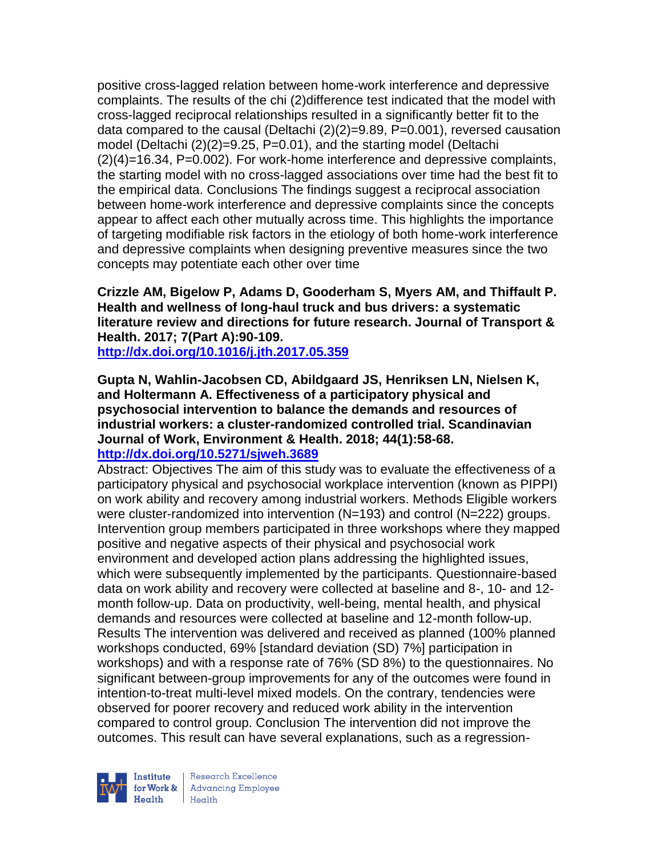positive cross-lagged relation between home-work interference and depressive complaints. The results of the chi (2)difference test indicated that the model with cross-lagged reciprocal relationships resulted in a significantly better fit to the data compared to the causal (Deltachi  $(2)(2)=9.89$ , P=0.001), reversed causation model (Deltachi (2)(2)=9.25, P=0.01), and the starting model (Deltachi (2)(4)=16.34, P=0.002). For work-home interference and depressive complaints, the starting model with no cross-lagged associations over time had the best fit to the empirical data. Conclusions The findings suggest a reciprocal association between home-work interference and depressive complaints since the concepts appear to affect each other mutually across time. This highlights the importance of targeting modifiable risk factors in the etiology of both home-work interference and depressive complaints when designing preventive measures since the two concepts may potentiate each other over time

**Crizzle AM, Bigelow P, Adams D, Gooderham S, Myers AM, and Thiffault P. Health and wellness of long-haul truck and bus drivers: a systematic literature review and directions for future research. Journal of Transport & Health. 2017; 7(Part A):90-109.** 

**<http://dx.doi.org/10.1016/j.jth.2017.05.359>**

**Gupta N, Wahlin-Jacobsen CD, Abildgaard JS, Henriksen LN, Nielsen K, and Holtermann A. Effectiveness of a participatory physical and psychosocial intervention to balance the demands and resources of industrial workers: a cluster-randomized controlled trial. Scandinavian Journal of Work, Environment & Health. 2018; 44(1):58-68. <http://dx.doi.org/10.5271/sjweh.3689>**

Abstract: Objectives The aim of this study was to evaluate the effectiveness of a participatory physical and psychosocial workplace intervention (known as PIPPI) on work ability and recovery among industrial workers. Methods Eligible workers were cluster-randomized into intervention (N=193) and control (N=222) groups. Intervention group members participated in three workshops where they mapped positive and negative aspects of their physical and psychosocial work environment and developed action plans addressing the highlighted issues, which were subsequently implemented by the participants. Questionnaire-based data on work ability and recovery were collected at baseline and 8-, 10- and 12 month follow-up. Data on productivity, well-being, mental health, and physical demands and resources were collected at baseline and 12-month follow-up. Results The intervention was delivered and received as planned (100% planned workshops conducted, 69% [standard deviation (SD) 7%] participation in workshops) and with a response rate of 76% (SD 8%) to the questionnaires. No significant between-group improvements for any of the outcomes were found in intention-to-treat multi-level mixed models. On the contrary, tendencies were observed for poorer recovery and reduced work ability in the intervention compared to control group. Conclusion The intervention did not improve the outcomes. This result can have several explanations, such as a regression-



Research Excellence for Work & | Advancing Employee  $H_{\text{eath}}$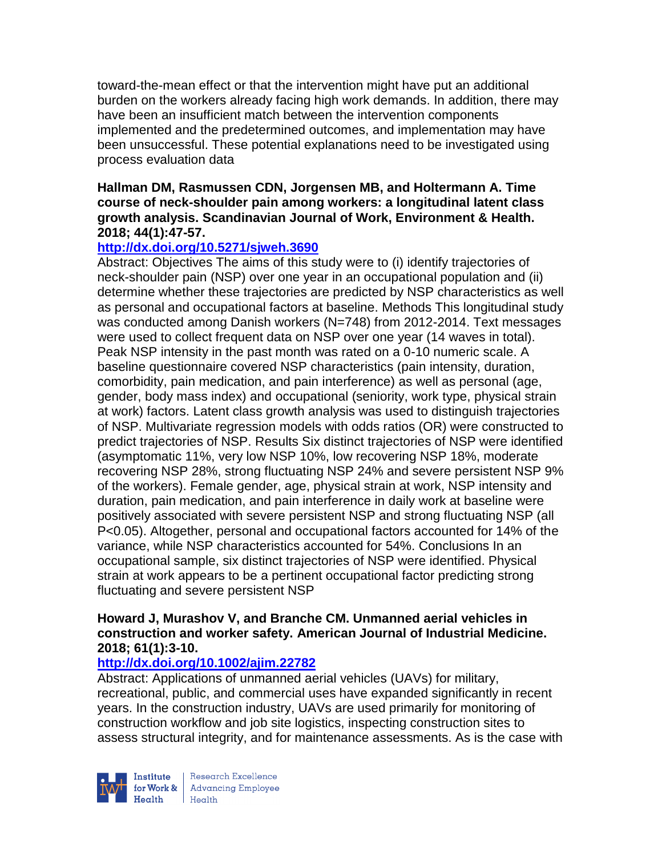toward-the-mean effect or that the intervention might have put an additional burden on the workers already facing high work demands. In addition, there may have been an insufficient match between the intervention components implemented and the predetermined outcomes, and implementation may have been unsuccessful. These potential explanations need to be investigated using process evaluation data

#### **Hallman DM, Rasmussen CDN, Jorgensen MB, and Holtermann A. Time course of neck-shoulder pain among workers: a longitudinal latent class growth analysis. Scandinavian Journal of Work, Environment & Health. 2018; 44(1):47-57.**

### **<http://dx.doi.org/10.5271/sjweh.3690>**

Abstract: Objectives The aims of this study were to (i) identify trajectories of neck-shoulder pain (NSP) over one year in an occupational population and (ii) determine whether these trajectories are predicted by NSP characteristics as well as personal and occupational factors at baseline. Methods This longitudinal study was conducted among Danish workers (N=748) from 2012-2014. Text messages were used to collect frequent data on NSP over one year (14 waves in total). Peak NSP intensity in the past month was rated on a 0-10 numeric scale. A baseline questionnaire covered NSP characteristics (pain intensity, duration, comorbidity, pain medication, and pain interference) as well as personal (age, gender, body mass index) and occupational (seniority, work type, physical strain at work) factors. Latent class growth analysis was used to distinguish trajectories of NSP. Multivariate regression models with odds ratios (OR) were constructed to predict trajectories of NSP. Results Six distinct trajectories of NSP were identified (asymptomatic 11%, very low NSP 10%, low recovering NSP 18%, moderate recovering NSP 28%, strong fluctuating NSP 24% and severe persistent NSP 9% of the workers). Female gender, age, physical strain at work, NSP intensity and duration, pain medication, and pain interference in daily work at baseline were positively associated with severe persistent NSP and strong fluctuating NSP (all P<0.05). Altogether, personal and occupational factors accounted for 14% of the variance, while NSP characteristics accounted for 54%. Conclusions In an occupational sample, six distinct trajectories of NSP were identified. Physical strain at work appears to be a pertinent occupational factor predicting strong fluctuating and severe persistent NSP

### **Howard J, Murashov V, and Branche CM. Unmanned aerial vehicles in construction and worker safety. American Journal of Industrial Medicine. 2018; 61(1):3-10.**

### **<http://dx.doi.org/10.1002/ajim.22782>**

Abstract: Applications of unmanned aerial vehicles (UAVs) for military, recreational, public, and commercial uses have expanded significantly in recent years. In the construction industry, UAVs are used primarily for monitoring of construction workflow and job site logistics, inspecting construction sites to assess structural integrity, and for maintenance assessments. As is the case with



Research Excellence **Institute** Research Excellence<br> **For Work &**<br>
Marth Harlth Harlth  $Heath$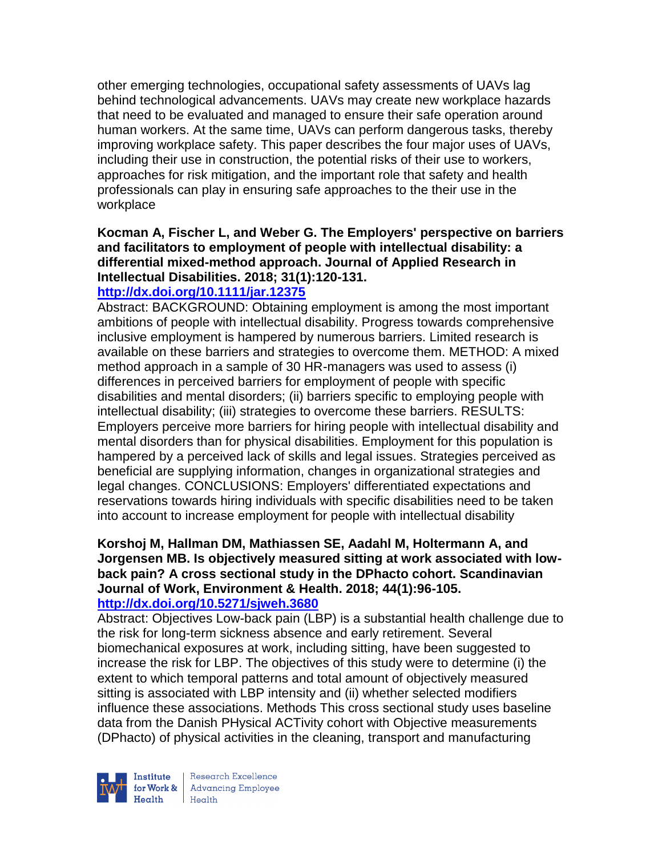other emerging technologies, occupational safety assessments of UAVs lag behind technological advancements. UAVs may create new workplace hazards that need to be evaluated and managed to ensure their safe operation around human workers. At the same time, UAVs can perform dangerous tasks, thereby improving workplace safety. This paper describes the four major uses of UAVs, including their use in construction, the potential risks of their use to workers, approaches for risk mitigation, and the important role that safety and health professionals can play in ensuring safe approaches to the their use in the workplace

## **Kocman A, Fischer L, and Weber G. The Employers' perspective on barriers and facilitators to employment of people with intellectual disability: a differential mixed-method approach. Journal of Applied Research in Intellectual Disabilities. 2018; 31(1):120-131.**

### **<http://dx.doi.org/10.1111/jar.12375>**

Abstract: BACKGROUND: Obtaining employment is among the most important ambitions of people with intellectual disability. Progress towards comprehensive inclusive employment is hampered by numerous barriers. Limited research is available on these barriers and strategies to overcome them. METHOD: A mixed method approach in a sample of 30 HR-managers was used to assess (i) differences in perceived barriers for employment of people with specific disabilities and mental disorders; (ii) barriers specific to employing people with intellectual disability; (iii) strategies to overcome these barriers. RESULTS: Employers perceive more barriers for hiring people with intellectual disability and mental disorders than for physical disabilities. Employment for this population is hampered by a perceived lack of skills and legal issues. Strategies perceived as beneficial are supplying information, changes in organizational strategies and legal changes. CONCLUSIONS: Employers' differentiated expectations and reservations towards hiring individuals with specific disabilities need to be taken into account to increase employment for people with intellectual disability

#### **Korshoj M, Hallman DM, Mathiassen SE, Aadahl M, Holtermann A, and Jorgensen MB. Is objectively measured sitting at work associated with lowback pain? A cross sectional study in the DPhacto cohort. Scandinavian Journal of Work, Environment & Health. 2018; 44(1):96-105. <http://dx.doi.org/10.5271/sjweh.3680>**

Abstract: Objectives Low-back pain (LBP) is a substantial health challenge due to the risk for long-term sickness absence and early retirement. Several biomechanical exposures at work, including sitting, have been suggested to increase the risk for LBP. The objectives of this study were to determine (i) the extent to which temporal patterns and total amount of objectively measured sitting is associated with LBP intensity and (ii) whether selected modifiers influence these associations. Methods This cross sectional study uses baseline data from the Danish PHysical ACTivity cohort with Objective measurements (DPhacto) of physical activities in the cleaning, transport and manufacturing



Research Excellence  $H$ ealth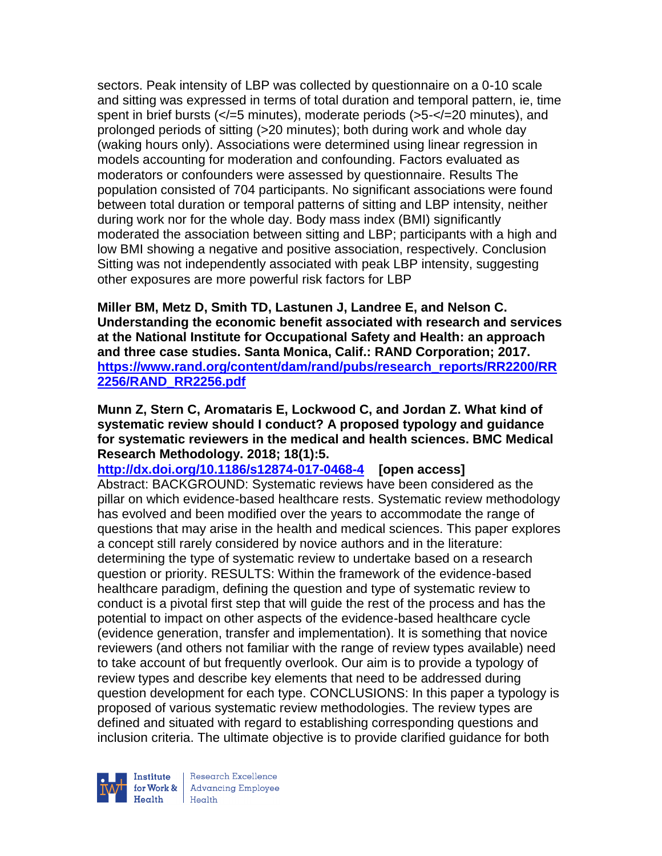sectors. Peak intensity of LBP was collected by questionnaire on a 0-10 scale and sitting was expressed in terms of total duration and temporal pattern, ie, time spent in brief bursts (</=5 minutes), moderate periods (>5-</=20 minutes), and prolonged periods of sitting (>20 minutes); both during work and whole day (waking hours only). Associations were determined using linear regression in models accounting for moderation and confounding. Factors evaluated as moderators or confounders were assessed by questionnaire. Results The population consisted of 704 participants. No significant associations were found between total duration or temporal patterns of sitting and LBP intensity, neither during work nor for the whole day. Body mass index (BMI) significantly moderated the association between sitting and LBP; participants with a high and low BMI showing a negative and positive association, respectively. Conclusion Sitting was not independently associated with peak LBP intensity, suggesting other exposures are more powerful risk factors for LBP

**Miller BM, Metz D, Smith TD, Lastunen J, Landree E, and Nelson C. Understanding the economic benefit associated with research and services at the National Institute for Occupational Safety and Health: an approach and three case studies. Santa Monica, Calif.: RAND Corporation; 2017. [https://www.rand.org/content/dam/rand/pubs/research\\_reports/RR2200/RR](https://www.rand.org/content/dam/rand/pubs/research_reports/RR2200/RR2256/RAND_RR2256.pdf) [2256/RAND\\_RR2256.pdf](https://www.rand.org/content/dam/rand/pubs/research_reports/RR2200/RR2256/RAND_RR2256.pdf)**

**Munn Z, Stern C, Aromataris E, Lockwood C, and Jordan Z. What kind of systematic review should I conduct? A proposed typology and guidance for systematic reviewers in the medical and health sciences. BMC Medical Research Methodology. 2018; 18(1):5.**

**<http://dx.doi.org/10.1186/s12874-017-0468-4>[open access]** Abstract: BACKGROUND: Systematic reviews have been considered as the pillar on which evidence-based healthcare rests. Systematic review methodology has evolved and been modified over the years to accommodate the range of questions that may arise in the health and medical sciences. This paper explores a concept still rarely considered by novice authors and in the literature: determining the type of systematic review to undertake based on a research question or priority. RESULTS: Within the framework of the evidence-based healthcare paradigm, defining the question and type of systematic review to conduct is a pivotal first step that will guide the rest of the process and has the potential to impact on other aspects of the evidence-based healthcare cycle (evidence generation, transfer and implementation). It is something that novice reviewers (and others not familiar with the range of review types available) need to take account of but frequently overlook. Our aim is to provide a typology of review types and describe key elements that need to be addressed during question development for each type. CONCLUSIONS: In this paper a typology is proposed of various systematic review methodologies. The review types are defined and situated with regard to establishing corresponding questions and inclusion criteria. The ultimate objective is to provide clarified guidance for both



Research Excellence for Work & | Advancing Employee  $H_{\text{eath}}$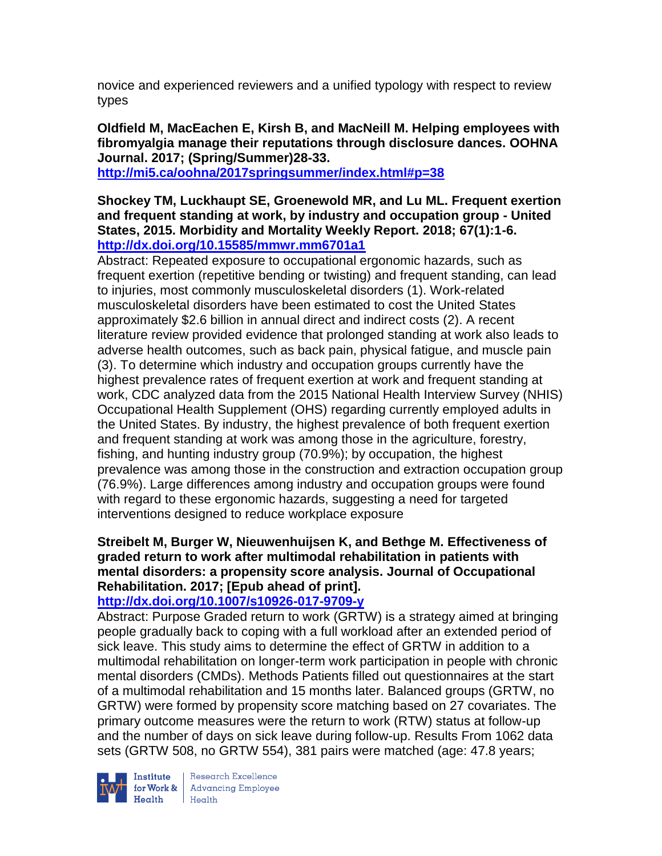novice and experienced reviewers and a unified typology with respect to review types

## **Oldfield M, MacEachen E, Kirsh B, and MacNeill M. Helping employees with fibromyalgia manage their reputations through disclosure dances. OOHNA Journal. 2017; (Spring/Summer)28-33.**

**<http://mi5.ca/oohna/2017springsummer/index.html#p=38>**

### **Shockey TM, Luckhaupt SE, Groenewold MR, and Lu ML. Frequent exertion and frequent standing at work, by industry and occupation group - United States, 2015. Morbidity and Mortality Weekly Report. 2018; 67(1):1-6. <http://dx.doi.org/10.15585/mmwr.mm6701a1>**

Abstract: Repeated exposure to occupational ergonomic hazards, such as frequent exertion (repetitive bending or twisting) and frequent standing, can lead to injuries, most commonly musculoskeletal disorders (1). Work-related musculoskeletal disorders have been estimated to cost the United States approximately \$2.6 billion in annual direct and indirect costs (2). A recent literature review provided evidence that prolonged standing at work also leads to adverse health outcomes, such as back pain, physical fatigue, and muscle pain (3). To determine which industry and occupation groups currently have the highest prevalence rates of frequent exertion at work and frequent standing at work, CDC analyzed data from the 2015 National Health Interview Survey (NHIS) Occupational Health Supplement (OHS) regarding currently employed adults in the United States. By industry, the highest prevalence of both frequent exertion and frequent standing at work was among those in the agriculture, forestry, fishing, and hunting industry group (70.9%); by occupation, the highest prevalence was among those in the construction and extraction occupation group (76.9%). Large differences among industry and occupation groups were found with regard to these ergonomic hazards, suggesting a need for targeted interventions designed to reduce workplace exposure

## **Streibelt M, Burger W, Nieuwenhuijsen K, and Bethge M. Effectiveness of graded return to work after multimodal rehabilitation in patients with mental disorders: a propensity score analysis. Journal of Occupational Rehabilitation. 2017; [Epub ahead of print].**

## **<http://dx.doi.org/10.1007/s10926-017-9709-y>**

Abstract: Purpose Graded return to work (GRTW) is a strategy aimed at bringing people gradually back to coping with a full workload after an extended period of sick leave. This study aims to determine the effect of GRTW in addition to a multimodal rehabilitation on longer-term work participation in people with chronic mental disorders (CMDs). Methods Patients filled out questionnaires at the start of a multimodal rehabilitation and 15 months later. Balanced groups (GRTW, no GRTW) were formed by propensity score matching based on 27 covariates. The primary outcome measures were the return to work (RTW) status at follow-up and the number of days on sick leave during follow-up. Results From 1062 data sets (GRTW 508, no GRTW 554), 381 pairs were matched (age: 47.8 years;



Institute Research Excellence<br>
for Work & Advancing Employee<br>
Health Health Health Health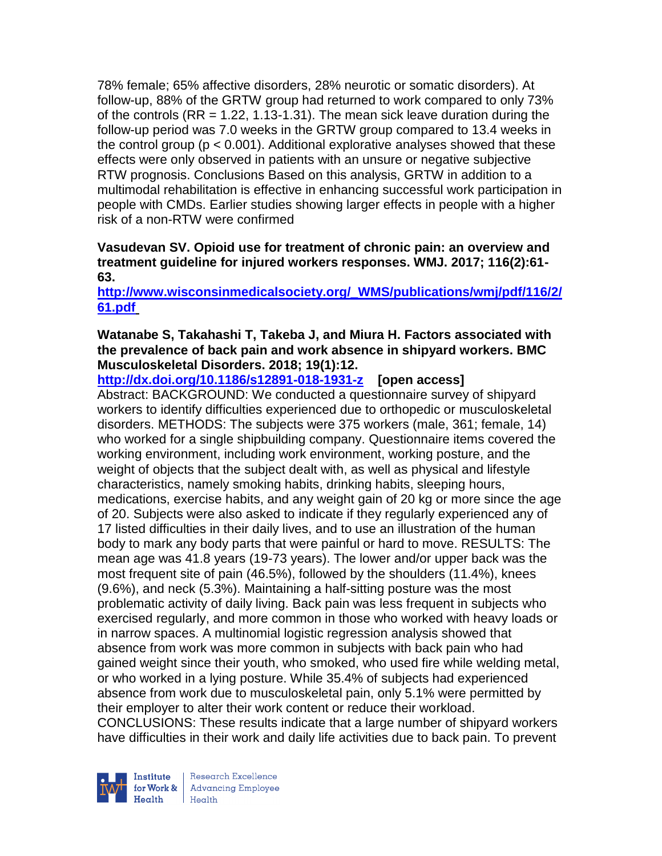78% female; 65% affective disorders, 28% neurotic or somatic disorders). At follow-up, 88% of the GRTW group had returned to work compared to only 73% of the controls ( $RR = 1.22, 1.13-1.31$ ). The mean sick leave duration during the follow-up period was 7.0 weeks in the GRTW group compared to 13.4 weeks in the control group ( $p < 0.001$ ). Additional explorative analyses showed that these effects were only observed in patients with an unsure or negative subjective RTW prognosis. Conclusions Based on this analysis, GRTW in addition to a multimodal rehabilitation is effective in enhancing successful work participation in people with CMDs. Earlier studies showing larger effects in people with a higher risk of a non-RTW were confirmed

### **Vasudevan SV. Opioid use for treatment of chronic pain: an overview and treatment guideline for injured workers responses. WMJ. 2017; 116(2):61- 63.**

## **[http://www.wisconsinmedicalsociety.org/\\_WMS/publications/wmj/pdf/116/2/](http://www.wisconsinmedicalsociety.org/_WMS/publications/wmj/pdf/116/2/61.pdf) [61.pdf](http://www.wisconsinmedicalsociety.org/_WMS/publications/wmj/pdf/116/2/61.pdf)**

### **Watanabe S, Takahashi T, Takeba J, and Miura H. Factors associated with the prevalence of back pain and work absence in shipyard workers. BMC Musculoskeletal Disorders. 2018; 19(1):12.**

**<http://dx.doi.org/10.1186/s12891-018-1931-z>[open access]**

Abstract: BACKGROUND: We conducted a questionnaire survey of shipyard workers to identify difficulties experienced due to orthopedic or musculoskeletal disorders. METHODS: The subjects were 375 workers (male, 361; female, 14) who worked for a single shipbuilding company. Questionnaire items covered the working environment, including work environment, working posture, and the weight of objects that the subject dealt with, as well as physical and lifestyle characteristics, namely smoking habits, drinking habits, sleeping hours, medications, exercise habits, and any weight gain of 20 kg or more since the age of 20. Subjects were also asked to indicate if they regularly experienced any of 17 listed difficulties in their daily lives, and to use an illustration of the human body to mark any body parts that were painful or hard to move. RESULTS: The mean age was 41.8 years (19-73 years). The lower and/or upper back was the most frequent site of pain (46.5%), followed by the shoulders (11.4%), knees (9.6%), and neck (5.3%). Maintaining a half-sitting posture was the most problematic activity of daily living. Back pain was less frequent in subjects who exercised regularly, and more common in those who worked with heavy loads or in narrow spaces. A multinomial logistic regression analysis showed that absence from work was more common in subjects with back pain who had gained weight since their youth, who smoked, who used fire while welding metal, or who worked in a lying posture. While 35.4% of subjects had experienced absence from work due to musculoskeletal pain, only 5.1% were permitted by their employer to alter their work content or reduce their workload. CONCLUSIONS: These results indicate that a large number of shipyard workers

have difficulties in their work and daily life activities due to back pain. To prevent